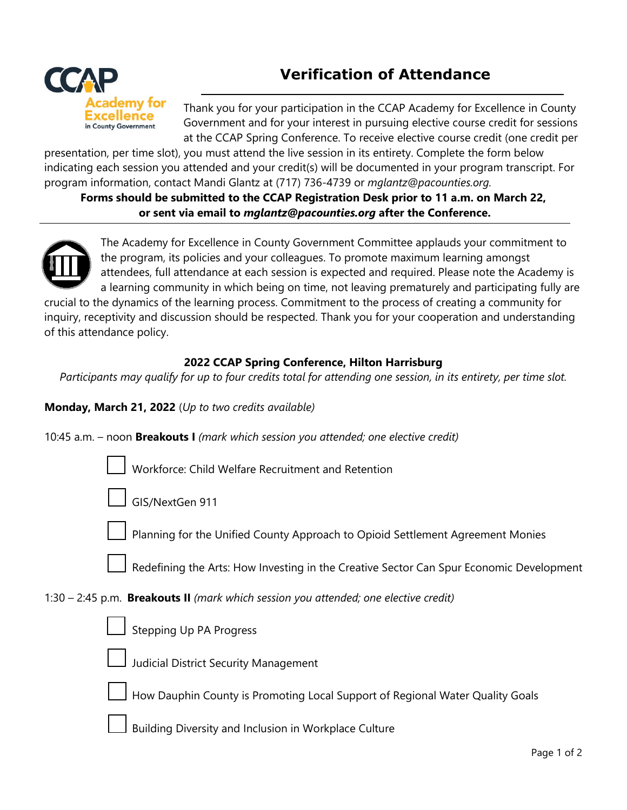

Thank you for your participation in the CCAP Academy for Excellence in County Government and for your interest in pursuing elective course credit for sessions at the CCAP Spring Conference. To receive elective course credit (one credit per

presentation, per time slot), you must attend the live session in its entirety. Complete the form below indicating each session you attended and your credit(s) will be documented in your program transcript. For program information, contact Mandi Glantz at (717) 736-4739 or *mglantz@pacounties.org.*

## **Forms should be submitted to the CCAP Registration Desk prior to 11 a.m. on March 22, or sent via email to** *[mglantz@pacounties.org](mailto:mglantz@pacounties.org)* **after the Conference.**



The Academy for Excellence in County Government Committee applauds your commitment to the program, its policies and your colleagues. To promote maximum learning amongst attendees, full attendance at each session is expected and required. Please note the Academy is a learning community in which being on time, not leaving prematurely and participating fully are

crucial to the dynamics of the learning process. Commitment to the process of creating a community for inquiry, receptivity and discussion should be respected. Thank you for your cooperation and understanding of this attendance policy.

## **2022 CCAP Spring Conference, Hilton Harrisburg**

*Participants may qualify for up to four credits total for attending one session, in its entirety, per time slot.*

**Monday, March 21, 2022** (*Up to two credits available)*

10:45 a.m. – noon **Breakouts I** *(mark which session you attended; one elective credit)*





Planning for the Unified County Approach to Opioid Settlement Agreement Monies



Redefining the Arts: How Investing in the Creative Sector Can Spur Economic Development

1:30 – 2:45 p.m. **Breakouts II** *(mark which session you attended; one elective credit)*

| × |
|---|
|   |

Stepping Up PA Progress



Judicial District Security Management



How Dauphin County is Promoting Local Support of Regional Water Quality Goals

Building Diversity and Inclusion in Workplace Culture